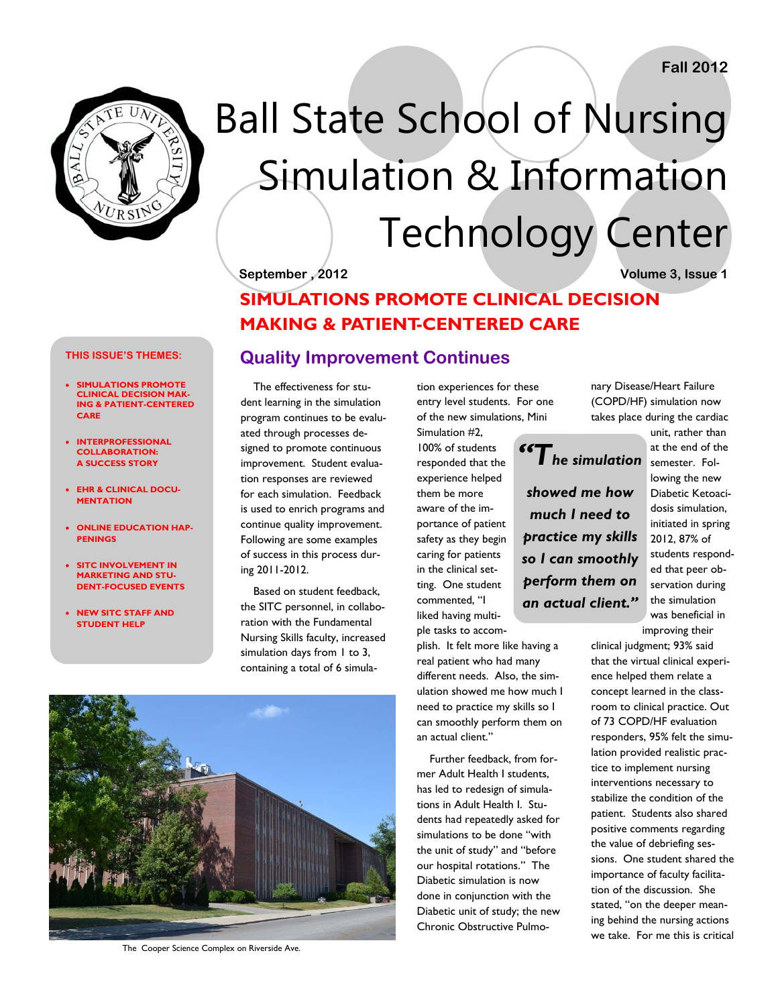

**September , 2012 Volume 3, Issue 1** 

# **SIMULATIONS PROMOTE CLINICAL DECISION MAKING & PATIENT-CENTERED CARE**

### **THIS ISSUE'S THEMES: Quality Improvement Continues**

- **SIMULATIONS PROMOTE CLINICAL DECISION MAK-ING & PATIENT-CENTERED CARE**
- **INTERPROFESSIONAL COLLABORATION: A SUCCESS STORY**
- **EHR & CLINICAL DOCU-MENTATION**
- **ONLINE EDUCATION HAP-PENINGS**
- **SITC INVOLVEMENT IN MARKETING AND STU-DENT-FOCUSED EVENTS**
- **NEW SITC STAFF AND STUDENT HELP**

 The effectiveness for student learning in the simulation program continues to be evaluated through processes designed to promote continuous improvement. Student evaluation responses are reviewed for each simulation. Feedback is used to enrich programs and continue quality improvement. Following are some examples of success in this process during 2011-2012.

 Based on student feedback, the SITC personnel, in collaboration with the Fundamental Nursing Skills faculty, increased simulation days from 1 to 3, containing a total of 6 simulation experiences for these entry level students. For one of the new simulations, Mini Simulation #2,

100% of students responded that the experience helped them be more aware of the importance of patient safety as they begin caring for patients in the clinical setting. One student commented, "I liked having multiple tasks to accom-

plish. It felt more like having a real patient who had many different needs. Also, the simulation showed me how much I need to practice my skills so I can smoothly perform them on an actual client."

 Further feedback, from former Adult Health I students, has led to redesign of simulations in Adult Health I. Students had repeatedly asked for simulations to be done "with the unit of study" and "before our hospital rotations." The Diabetic simulation is now done in conjunction with the Diabetic unit of study; the new Chronic Obstructive Pulmonary Disease/Heart Failure (COPD/HF) simulation now takes place during the cardiac



*an actual client."* 

unit, rather than at the end of the lowing the new Diabetic Ketoacidosis simulation, initiated in spring 2012, 87% of students responded that peer observation during the simulation was beneficial in improving their

clinical judgment; 93% said that the virtual clinical experience helped them relate a concept learned in the classroom to clinical practice. Out of 73 COPD/HF evaluation responders, 95% felt the simulation provided realistic practice to implement nursing interventions necessary to stabilize the condition of the patient. Students also shared positive comments regarding the value of debriefing sessions. One student shared the importance of faculty facilitation of the discussion. She stated, "on the deeper meaning behind the nursing actions we take. For me this is critical



The Cooper Science Complex on Riverside Ave.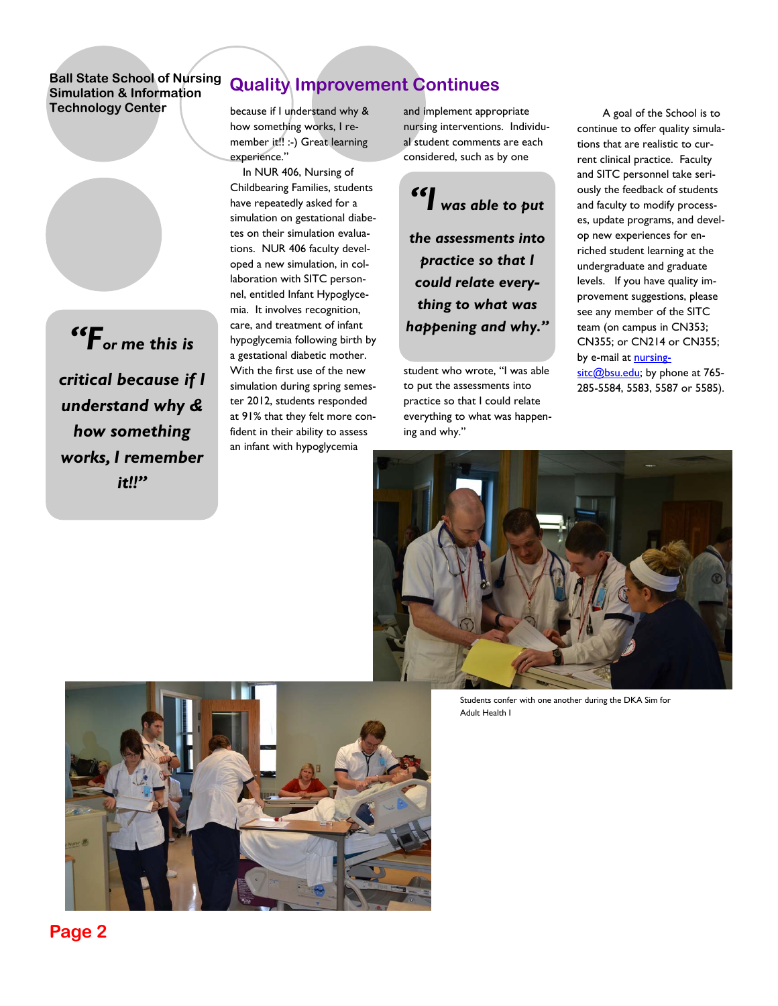### **Ball State School of Nursing Simulation & Information Technology Center** because if I understand why &

*"For me this is critical because if I understand why & how something works, I remember it!!"*

# **Quality Improvement Continues**

how something works, I remember it!! :-) Great learning experience."

 In NUR 406, Nursing of Childbearing Families, students have repeatedly asked for a simulation on gestational diabetes on their simulation evaluations. NUR 406 faculty developed a new simulation, in collaboration with SITC personnel, entitled Infant Hypoglycemia. It involves recognition, care, and treatment of infant hypoglycemia following birth by a gestational diabetic mother. With the first use of the new simulation during spring semester 2012, students responded at 91% that they felt more confident in their ability to assess an infant with hypoglycemia

and implement appropriate nursing interventions. Individual student comments are each considered, such as by one

*"I was able to put the assessments into practice so that I could relate everything to what was happening and why."* 

student who wrote, "I was able to put the assessments into practice so that I could relate everything to what was happening and why."

 A goal of the School is to continue to offer quality simulations that are realistic to current clinical practice. Faculty and SITC personnel take seriously the feedback of students and faculty to modify processes, update programs, and develop new experiences for enriched student learning at the undergraduate and graduate levels. If you have quality improvement suggestions, please see any member of the SITC team (on campus in CN353; CN355; or CN214 or CN355; by e-mail at **nursing**sitc@bsu.edu; by phone at 765-

285-5584, 5583, 5587 or 5585).





Students confer with one another during the DKA Sim for Adult Health I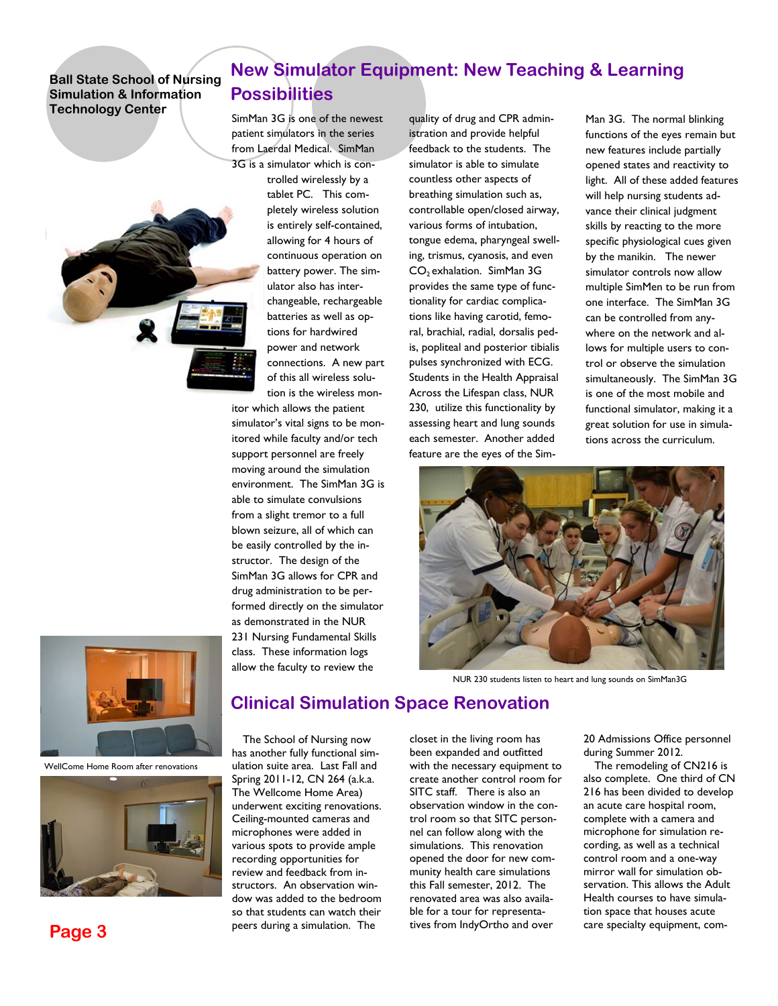## **Ball State School of Nursing Simulation & Information Technology Center SimMan 3G** is one of the newest

patient simulators in the series from Laerdal Medical. SimMan 3G is a simulator which is controlled wirelessly by a tablet PC. This completely wireless solution

**Possibilities** 

is entirely self-contained, allowing for 4 hours of continuous operation on battery power. The simulator also has interchangeable, rechargeable batteries as well as options for hardwired power and network connections. A new part of this all wireless solution is the wireless mon-

itor which allows the patient simulator's vital signs to be monitored while faculty and/or tech support personnel are freely moving around the simulation environment. The SimMan 3G is able to simulate convulsions from a slight tremor to a full blown seizure, all of which can be easily controlled by the instructor. The design of the SimMan 3G allows for CPR and drug administration to be performed directly on the simulator as demonstrated in the NUR 231 Nursing Fundamental Skills class. These information logs allow the faculty to review the

istration and provide helpful feedback to the students. The simulator is able to simulate countless other aspects of breathing simulation such as, controllable open/closed airway, various forms of intubation, tongue edema, pharyngeal swelling, trismus, cyanosis, and even CO<sub>2</sub> exhalation. SimMan 3G provides the same type of functionality for cardiac complications like having carotid, femoral, brachial, radial, dorsalis pedis, popliteal and posterior tibialis pulses synchronized with ECG. Students in the Health Appraisal Across the Lifespan class, NUR 230, utilize this functionality by assessing heart and lung sounds each semester. Another added feature are the eyes of the Sim-

quality of drug and CPR admin-

**New Simulator Equipment: New Teaching & Learning** 

Man 3G. The normal blinking functions of the eyes remain but new features include partially opened states and reactivity to light. All of these added features will help nursing students advance their clinical judgment skills by reacting to the more specific physiological cues given by the manikin. The newer simulator controls now allow multiple SimMen to be run from one interface. The SimMan 3G can be controlled from anywhere on the network and allows for multiple users to control or observe the simulation simultaneously. The SimMan 3G is one of the most mobile and functional simulator, making it a great solution for use in simulations across the curriculum.



NUR 230 students listen to heart and lung sounds on SimMan3G



WellCome Home Room after renovations



**Page 3** 

# **Clinical Simulation Space Renovation**

The School of Nursing now has another fully functional simulation suite area. Last Fall and Spring 2011-12, CN 264 (a.k.a. The Wellcome Home Area) underwent exciting renovations. Ceiling-mounted cameras and microphones were added in various spots to provide ample recording opportunities for review and feedback from instructors. An observation window was added to the bedroom so that students can watch their peers during a simulation. The

closet in the living room has been expanded and outfitted with the necessary equipment to create another control room for SITC staff. There is also an observation window in the control room so that SITC personnel can follow along with the simulations. This renovation opened the door for new community health care simulations this Fall semester, 2012. The renovated area was also available for a tour for representatives from IndyOrtho and over

20 Admissions Office personnel during Summer 2012.

The remodeling of CN216 is also complete. One third of CN 216 has been divided to develop an acute care hospital room, complete with a camera and microphone for simulation recording, as well as a technical control room and a one-way mirror wall for simulation observation. This allows the Adult Health courses to have simulation space that houses acute care specialty equipment, com-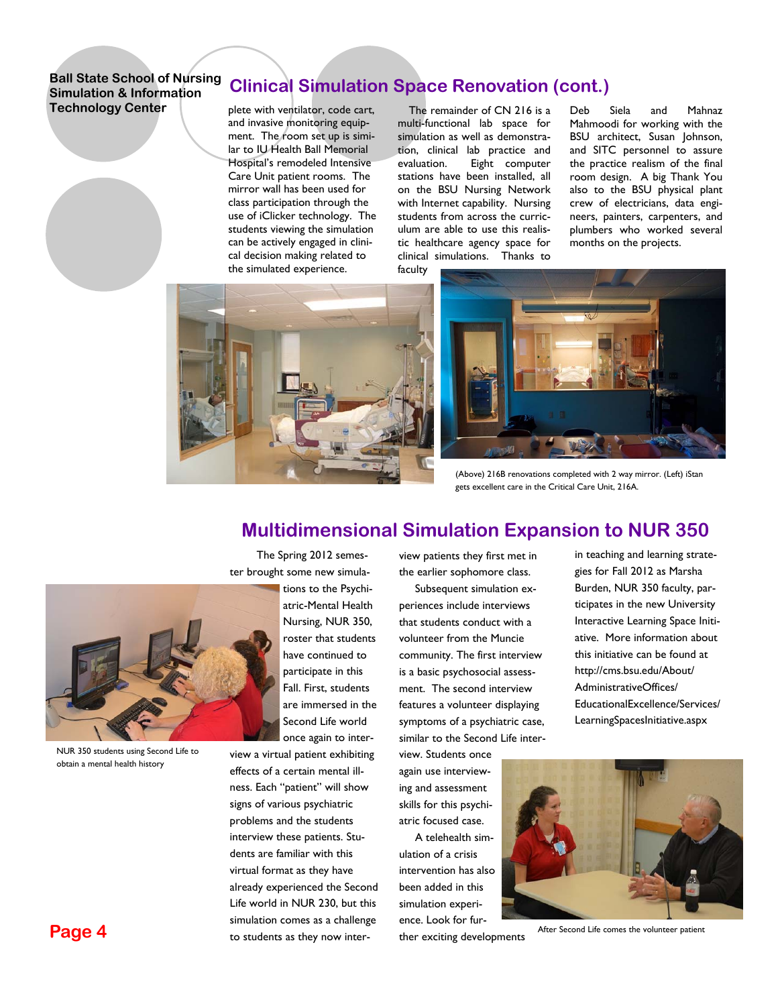### **Ball State School of Nursing Simulation & Information Technology Center plete with ventilator, code cart,**

# **Clinical Simulation Space Renovation (cont.)**

faculty

and invasive monitoring equipment. The room set up is similar to IU Health Ball Memorial Hospital's remodeled Intensive Care Unit patient rooms. The mirror wall has been used for class participation through the use of iClicker technology. The students viewing the simulation can be actively engaged in clinical decision making related to the simulated experience.

The remainder of CN 216 is a multi-functional lab space for simulation as well as demonstration, clinical lab practice and evaluation. Eight computer stations have been installed, all on the BSU Nursing Network with Internet capability. Nursing students from across the curriculum are able to use this realistic healthcare agency space for clinical simulations. Thanks to Deb Siela and Mahnaz Mahmoodi for working with the BSU architect, Susan Johnson, and SITC personnel to assure the practice realism of the final room design. A big Thank You also to the BSU physical plant crew of electricians, data engineers, painters, carpenters, and plumbers who worked several months on the projects.





(Above) 216B renovations completed with 2 way mirror. (Left) iStan gets excellent care in the Critical Care Unit, 216A.

# **Multidimensional Simulation Expansion to NUR 350**

 The Spring 2012 semester brought some new simula-



NUR 350 students using Second Life to obtain a mental health history

tions to the Psychiatric-Mental Health Nursing, NUR 350, roster that students have continued to participate in this Fall. First, students are immersed in the Second Life world once again to inter-

view a virtual patient exhibiting effects of a certain mental illness. Each "patient" will show signs of various psychiatric problems and the students interview these patients. Students are familiar with this virtual format as they have already experienced the Second Life world in NUR 230, but this simulation comes as a challenge to students as they now interview patients they first met in the earlier sophomore class.

 Subsequent simulation experiences include interviews that students conduct with a volunteer from the Muncie community. The first interview is a basic psychosocial assessment. The second interview features a volunteer displaying symptoms of a psychiatric case, similar to the Second Life inter-

view. Students once again use interviewing and assessment skills for this psychiatric focused case.

 A telehealth simulation of a crisis intervention has also been added in this simulation experience. Look for further exciting developments

in teaching and learning strategies for Fall 2012 as Marsha Burden, NUR 350 faculty, participates in the new University Interactive Learning Space Initiative. More information about this initiative can be found at http://cms.bsu.edu/About/ AdministrativeOffices/ EducationalExcellence/Services/ LearningSpacesInitiative.aspx



After Second Life comes the volunteer patient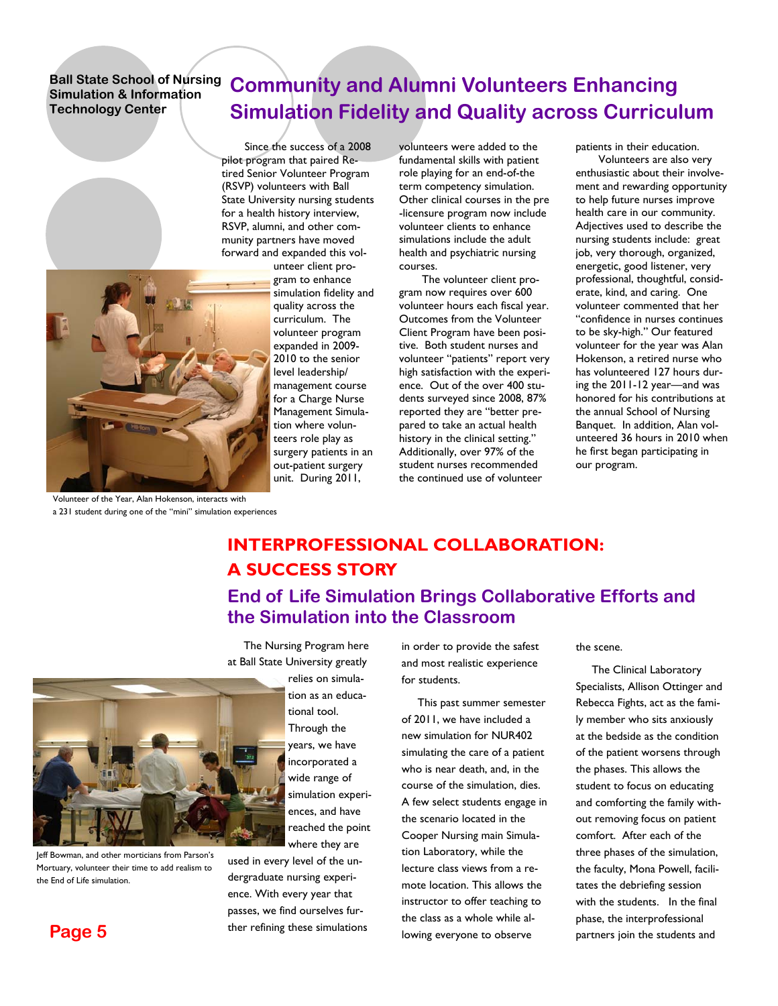# **Community and Alumni Volunteers Enhancing Simulation Fidelity and Quality across Curriculum**

Since the success of a 2008 pilot program that paired Retired Senior Volunteer Program (RSVP) volunteers with Ball State University nursing students for a health history interview, RSVP, alumni, and other community partners have moved forward and expanded this vol-



Volunteer of the Year, Alan Hokenson, interacts with a 231 student during one of the "mini" simulation experiences

unteer client program to enhance simulation fidelity and quality across the curriculum. The volunteer program expanded in 2009- 2010 to the senior level leadership/ management course for a Charge Nurse Management Simulation where volunteers role play as surgery patients in an

volunteers were added to the fundamental skills with patient role playing for an end-of-the term competency simulation. Other clinical courses in the pre -licensure program now include volunteer clients to enhance simulations include the adult health and psychiatric nursing courses.

The volunteer client program now requires over 600 volunteer hours each fiscal year. Outcomes from the Volunteer Client Program have been positive. Both student nurses and volunteer "patients" report very high satisfaction with the experience. Out of the over 400 students surveyed since 2008, 87% reported they are "better prepared to take an actual health history in the clinical setting." Additionally, over 97% of the student nurses recommended the continued use of volunteer

patients in their education.

Volunteers are also very enthusiastic about their involvement and rewarding opportunity to help future nurses improve health care in our community. Adjectives used to describe the nursing students include: great job, very thorough, organized, energetic, good listener, very professional, thoughtful, considerate, kind, and caring. One volunteer commented that her "confidence in nurses continues to be sky-high." Our featured volunteer for the year was Alan Hokenson, a retired nurse who has volunteered 127 hours during the 2011-12 year—and was honored for his contributions at the annual School of Nursing Banquet. In addition, Alan volunteered 36 hours in 2010 when he first began participating in our program.

# **INTERPROFESSIONAL COLLABORATION: A SUCCESS STORY**

# **End of Life Simulation Brings Collaborative Efforts and the Simulation into the Classroom**

 The Nursing Program here at Ball State University greatly

Jeff Bowman, and other morticians from Parson's Mortuary, volunteer their time to add realism to the End of Life simulation.

relies on simulation as an educational tool.

Through the years, we have incorporated a wide range of simulation experiences, and have reached the point where they are

used in every level of the undergraduate nursing experience. With every year that passes, we find ourselves further refining these simulations in order to provide the safest and most realistic experience for students.

 This past summer semester of 2011, we have included a new simulation for NUR402 simulating the care of a patient who is near death, and, in the course of the simulation, dies. A few select students engage in the scenario located in the Cooper Nursing main Simulation Laboratory, while the lecture class views from a remote location. This allows the instructor to offer teaching to the class as a whole while allowing everyone to observe

the scene.

 The Clinical Laboratory Specialists, Allison Ottinger and Rebecca Fights, act as the family member who sits anxiously at the bedside as the condition of the patient worsens through the phases. This allows the student to focus on educating and comforting the family without removing focus on patient comfort. After each of the three phases of the simulation, the faculty, Mona Powell, facilitates the debriefing session with the students. In the final phase, the interprofessional partners join the students and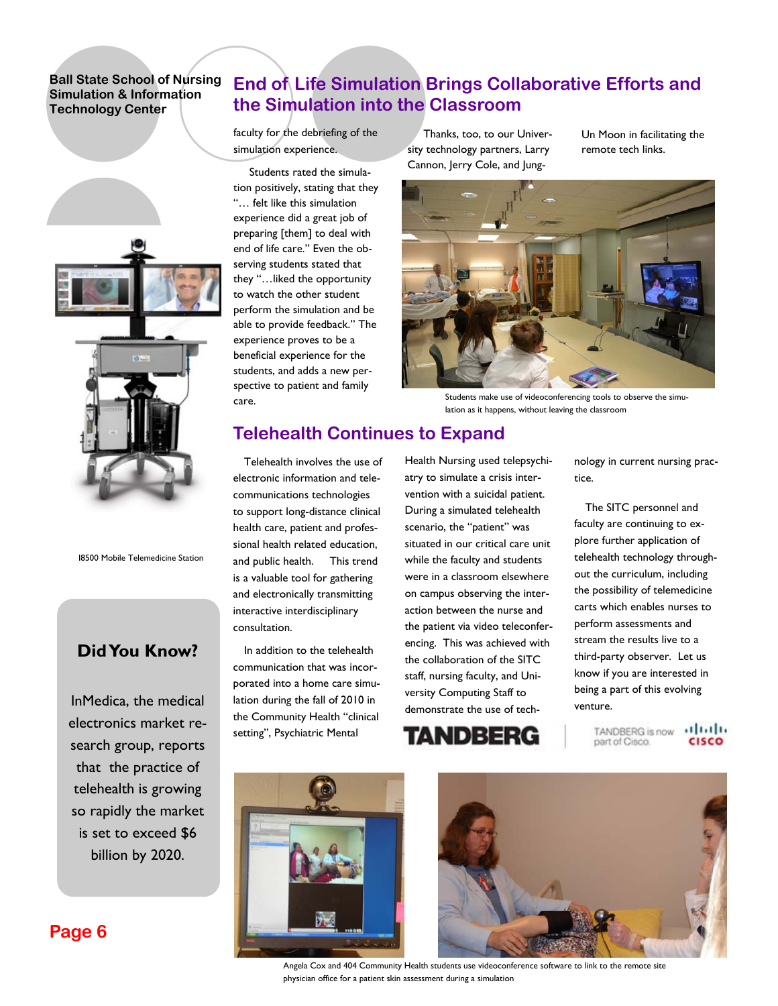

I8500 Mobile Telemedicine Station

# **Did You Know?**

InMedica, the medical electronics market research group, reports that the practice of telehealth is growing so rapidly the market is set to exceed \$6 billion by 2020.

# **End of Life Simulation Brings Collaborative Efforts and the Simulation into the Classroom**

faculty for the debriefing of the simulation experience.

 Students rated the simulation positively, stating that they "… felt like this simulation experience did a great job of preparing [them] to deal with end of life care." Even the observing students stated that they "…liked the opportunity to watch the other student perform the simulation and be able to provide feedback." The experience proves to be a beneficial experience for the students, and adds a new perspective to patient and family care.

 Thanks, too, to our University technology partners, Larry Cannon, Jerry Cole, and JungUn Moon in facilitating the remote tech links.



Students make use of videoconferencing tools to observe the simulation as it happens, without leaving the classroom

# **Telehealth Continues to Expand**

Telehealth involves the use of electronic information and telecommunications technologies to support long-distance clinical health care, patient and professional health related education, and public health. This trend is a valuable tool for gathering and electronically transmitting interactive interdisciplinary consultation.

In addition to the telehealth communication that was incorporated into a home care simulation during the fall of 2010 in the Community Health "clinical setting", Psychiatric Mental

Health Nursing used telepsychiatry to simulate a crisis intervention with a suicidal patient. During a simulated telehealth scenario, the "patient" was situated in our critical care unit while the faculty and students were in a classroom elsewhere on campus observing the interaction between the nurse and the patient via video teleconferencing. This was achieved with the collaboration of the SITC staff, nursing faculty, and University Computing Staff to demonstrate the use of tech-



nology in current nursing practice.

The SITC personnel and faculty are continuing to explore further application of telehealth technology throughout the curriculum, including the possibility of telemedicine carts which enables nurses to perform assessments and stream the results live to a third-party observer. Let us know if you are interested in being a part of this evolving venture.

> TANDBERG is now +1|1+1|1+ part of Cisco. **CISCO**





Angela Cox and 404 Community Health students use videoconference software to link to the remote site physician office for a patient skin assessment during a simulation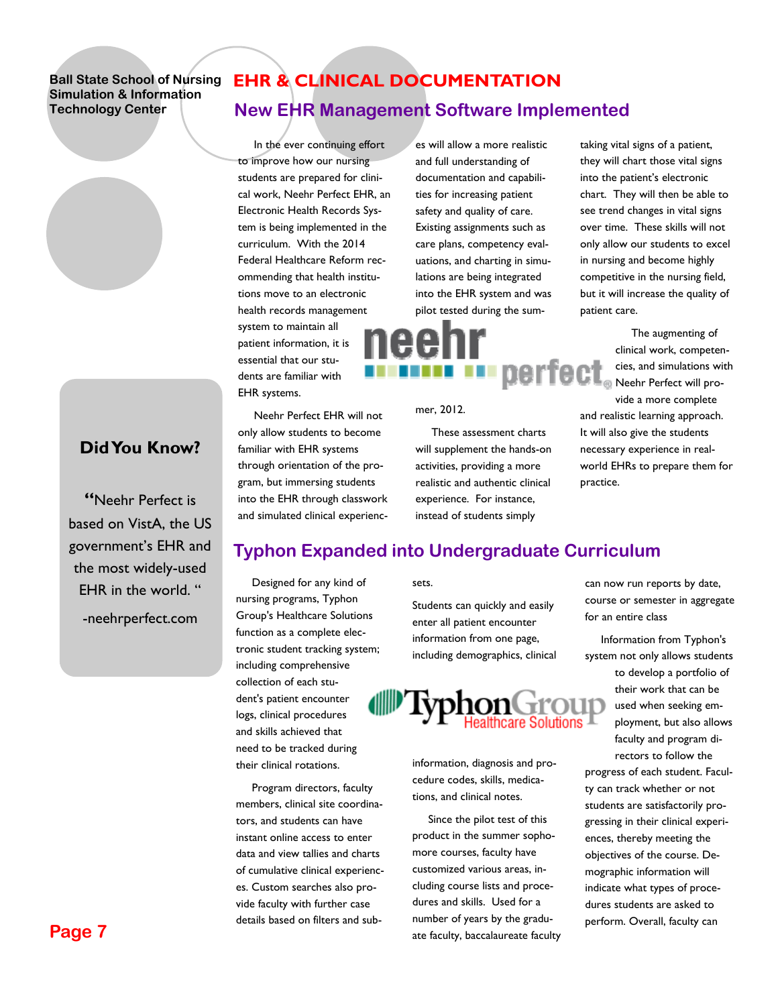# **Ball State School of Nursing Simulation & Information**

### **Did You Know?**

**"**Neehr Perfect is based on VistA, the US government's EHR and the most widely-used EHR in the world. " -neehrperfect.com

# Technology Center **New EHR Management Software Implemented EHR & CLINICAL DOCUMENTATION**

 In the ever continuing effort to improve how our nursing students are prepared for clinical work, Neehr Perfect EHR, an Electronic Health Records System is being implemented in the curriculum. With the 2014 Federal Healthcare Reform recommending that health institutions move to an electronic health records management system to maintain all patient information, it is essential that our students are familiar with EHR systems.

es will allow a more realistic and full understanding of documentation and capabilities for increasing patient safety and quality of care. Existing assignments such as care plans, competency evaluations, and charting in simulations are being integrated into the EHR system and was pilot tested during the sum-

taking vital signs of a patient, they will chart those vital signs into the patient's electronic chart. They will then be able to see trend changes in vital signs over time. These skills will not only allow our students to excel in nursing and become highly competitive in the nursing field, but it will increase the quality of patient care.

 The augmenting of clinical work, competencies, and simulations with Neehr Perfect will provide a more complete and realistic learning approach. It will also give the students necessary experience in realworld EHRs to prepare them for practice.

 Neehr Perfect EHR will not only allow students to become familiar with EHR systems through orientation of the program, but immersing students into the EHR through classwork and simulated clinical experiencmer, 2012.

 These assessment charts will supplement the hands-on activities, providing a more realistic and authentic clinical experience. For instance, instead of students simply

# **Typhon Expanded into Undergraduate Curriculum**

 Designed for any kind of nursing programs, Typhon Group's Healthcare Solutions function as a complete electronic student tracking system; including comprehensive collection of each student's patient encounter logs, clinical procedures and skills achieved that need to be tracked during their clinical rotations.

 Program directors, faculty members, clinical site coordinators, and students can have instant online access to enter data and view tallies and charts of cumulative clinical experiences. Custom searches also provide faculty with further case details based on filters and subsets.

Students can quickly and easily enter all patient encounter information from one page, including demographics, clinical



information, diagnosis and procedure codes, skills, medications, and clinical notes.

 Since the pilot test of this product in the summer sophomore courses, faculty have customized various areas, including course lists and procedures and skills. Used for a number of years by the graduate faculty, baccalaureate faculty

can now run reports by date, course or semester in aggregate for an entire class

 Information from Typhon's system not only allows students to develop a portfolio of their work that can be used when seeking employment, but also allows faculty and program directors to follow the progress of each student. Faculty can track whether or not students are satisfactorily progressing in their clinical experiences, thereby meeting the objectives of the course. Demographic information will indicate what types of procedures students are asked to perform. Overall, faculty can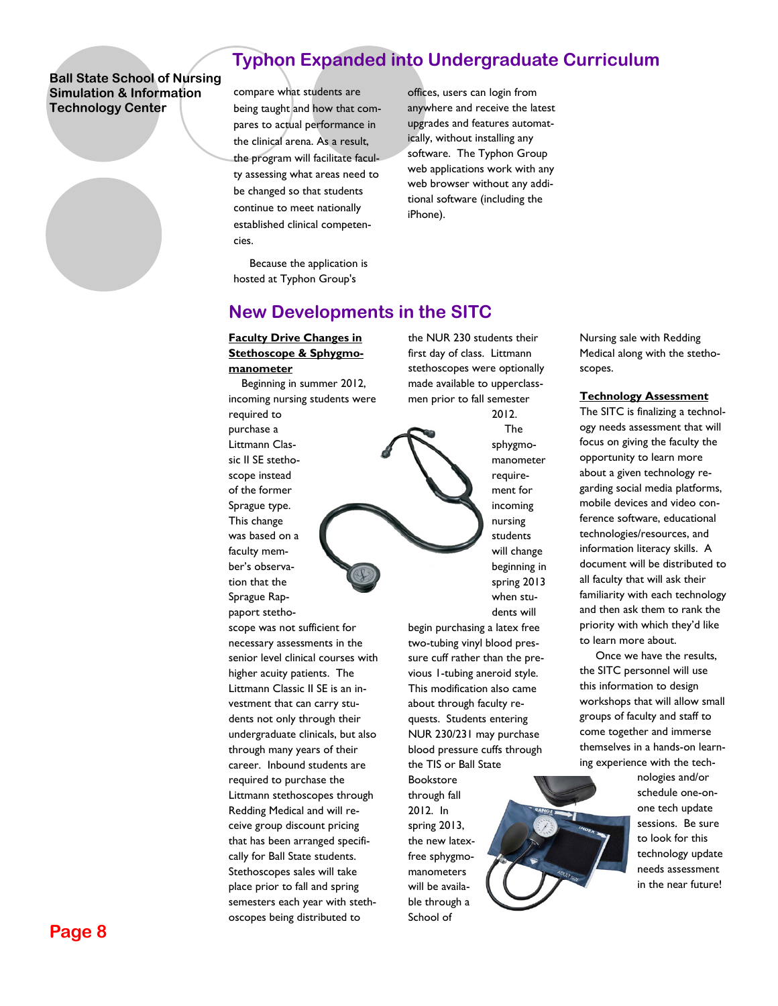# **Typhon Expanded into Undergraduate Curriculum**

### **Ball State School of Nursing Simulation & Information Technology Center**



compare what students are being taught and how that compares to actual performance in the clinical arena. As a result, the program will facilitate faculty assessing what areas need to be changed so that students continue to meet nationally established clinical competencies.

offices, users can login from anywhere and receive the latest upgrades and features automatically, without installing any software. The Typhon Group web applications work with any web browser without any additional software (including the iPhone).

 Because the application is hosted at Typhon Group's

# **New Developments in the SITC**

### **Faculty Drive Changes in Stethoscope & Sphygmomanometer**

Beginning in summer 2012, incoming nursing students were required to purchase a Littmann Classic II SE stethoscope instead of the former Sprague type. This change was based on a faculty member's observation that the Sprague Rappaport stetho-

scope was not sufficient for necessary assessments in the senior level clinical courses with higher acuity patients. The Littmann Classic II SE is an investment that can carry students not only through their undergraduate clinicals, but also through many years of their career. Inbound students are required to purchase the Littmann stethoscopes through Redding Medical and will receive group discount pricing that has been arranged specifically for Ball State students. Stethoscopes sales will take place prior to fall and spring semesters each year with stethoscopes being distributed to

the NUR 230 students their first day of class. Littmann stethoscopes were optionally made available to upperclassmen prior to fall semester 2012.

 The sphygmomanometer requirement for incoming nursing students will change beginning in spring 2013 when students will

begin purchasing a latex free two-tubing vinyl blood pressure cuff rather than the previous 1-tubing aneroid style. This modification also came about through faculty requests. Students entering NUR 230/231 may purchase blood pressure cuffs through the TIS or Ball State

Bookstore through fall 2012. In spring 2013, the new latexfree sphygmomanometers will be available through a School of

Nursing sale with Redding Medical along with the stethoscopes.

### **Technology Assessment**

The SITC is finalizing a technology needs assessment that will focus on giving the faculty the opportunity to learn more about a given technology regarding social media platforms, mobile devices and video conference software, educational technologies/resources, and information literacy skills. A document will be distributed to all faculty that will ask their familiarity with each technology and then ask them to rank the priority with which they'd like to learn more about.

 Once we have the results, the SITC personnel will use this information to design workshops that will allow small groups of faculty and staff to come together and immerse themselves in a hands-on learning experience with the tech-

> nologies and/or schedule one-onone tech update sessions. Be sure to look for this technology update needs assessment in the near future!

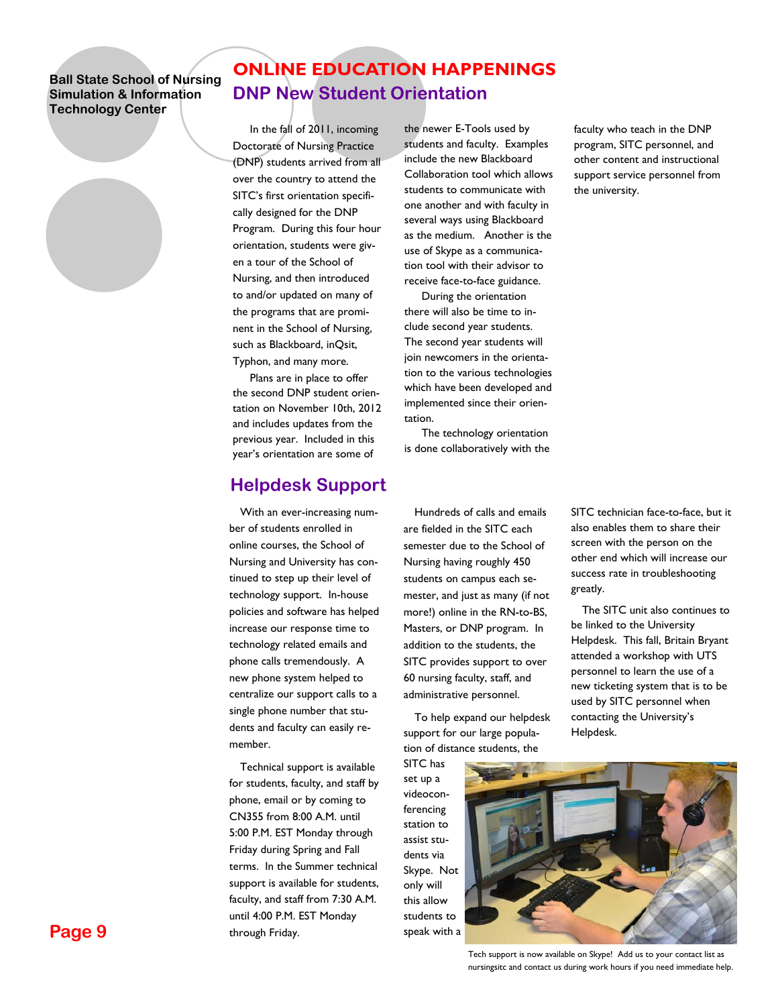# **DNP New Student Orientation ONLINE EDUCATION HAPPENINGS**

In the fall of 2011, incoming Doctorate of Nursing Practice (DNP) students arrived from all over the country to attend the SITC's first orientation specifically designed for the DNP Program. During this four hour orientation, students were given a tour of the School of Nursing, and then introduced to and/or updated on many of the programs that are prominent in the School of Nursing, such as Blackboard, inQsit, Typhon, and many more.

Plans are in place to offer the second DNP student orientation on November 10th, 2012 and includes updates from the previous year. Included in this year's orientation are some of

the newer E-Tools used by students and faculty. Examples include the new Blackboard Collaboration tool which allows students to communicate with one another and with faculty in several ways using Blackboard as the medium. Another is the use of Skype as a communication tool with their advisor to receive face-to-face guidance.

During the orientation there will also be time to include second year students. The second year students will join newcomers in the orientation to the various technologies which have been developed and implemented since their orientation.

The technology orientation is done collaboratively with the faculty who teach in the DNP program, SITC personnel, and other content and instructional support service personnel from the university.

# **Helpdesk Support**

With an ever-increasing number of students enrolled in online courses, the School of Nursing and University has continued to step up their level of technology support. In-house policies and software has helped increase our response time to technology related emails and phone calls tremendously. A new phone system helped to centralize our support calls to a single phone number that students and faculty can easily remember.

Technical support is available for students, faculty, and staff by phone, email or by coming to CN355 from 8:00 A.M. until 5:00 P.M. EST Monday through Friday during Spring and Fall terms. In the Summer technical support is available for students, faculty, and staff from 7:30 A.M. until 4:00 P.M. EST Monday through Friday.

Hundreds of calls and emails are fielded in the SITC each semester due to the School of Nursing having roughly 450 students on campus each semester, and just as many (if not more!) online in the RN-to-BS, Masters, or DNP program. In addition to the students, the SITC provides support to over 60 nursing faculty, staff, and administrative personnel.

To help expand our helpdesk support for our large population of distance students, the

SITC has set up a videoconferencing station to assist students via Skype. Not only will this allow students to speak with a SITC technician face-to-face, but it also enables them to share their screen with the person on the other end which will increase our success rate in troubleshooting greatly.

The SITC unit also continues to be linked to the University Helpdesk. This fall, Britain Bryant attended a workshop with UTS personnel to learn the use of a new ticketing system that is to be used by SITC personnel when contacting the University's Helpdesk.



Tech support is now available on Skype! Add us to your contact list as nursingsitc and contact us during work hours if you need immediate help.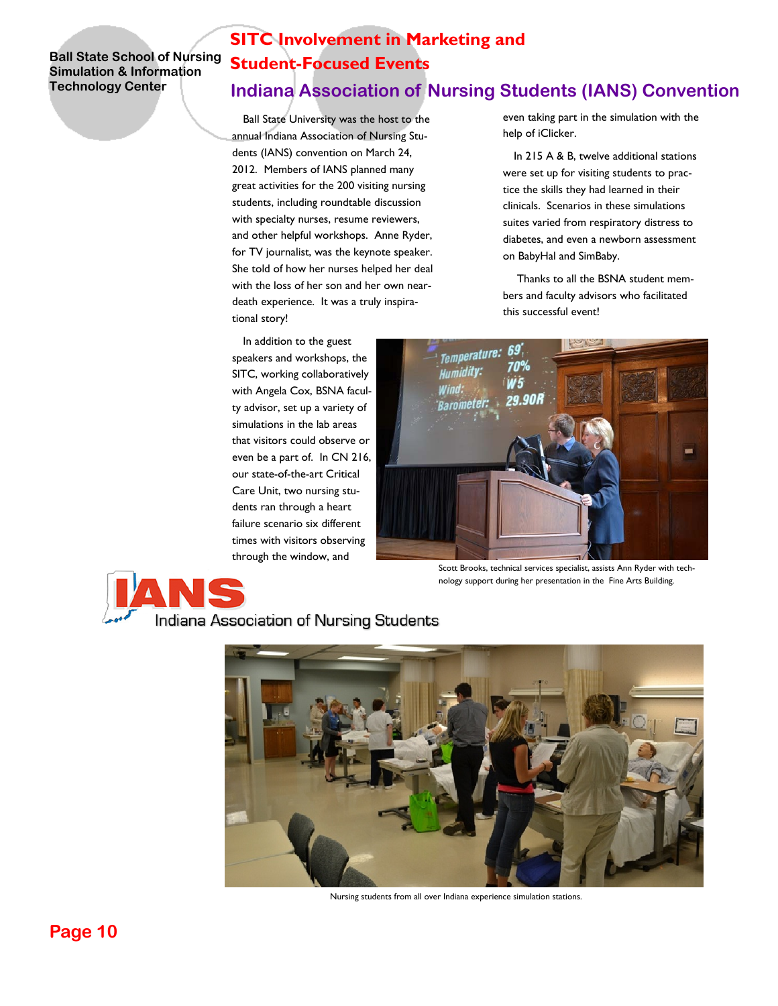# **Ball State School of Nursing Simulation & Information**

# **SITC Involvement in Marketing and Student-Focused Events**

# **Technology Center | Indiana Association of Nursing Students (IANS) Convention**

Ball State University was the host to the annual Indiana Association of Nursing Students (IANS) convention on March 24, 2012. Members of IANS planned many great activities for the 200 visiting nursing students, including roundtable discussion with specialty nurses, resume reviewers, and other helpful workshops. Anne Ryder, for TV journalist, was the keynote speaker. She told of how her nurses helped her deal with the loss of her son and her own neardeath experience. It was a truly inspirational story!

In addition to the guest speakers and workshops, the SITC, working collaboratively with Angela Cox, BSNA faculty advisor, set up a variety of simulations in the lab areas that visitors could observe or even be a part of. In CN 216, our state-of-the-art Critical Care Unit, two nursing students ran through a heart failure scenario six different times with visitors observing through the window, and

even taking part in the simulation with the help of iClicker.

In 215 A & B, twelve additional stations were set up for visiting students to practice the skills they had learned in their clinicals. Scenarios in these simulations suites varied from respiratory distress to diabetes, and even a newborn assessment on BabyHal and SimBaby.

 Thanks to all the BSNA student members and faculty advisors who facilitated this successful event!



Scott Brooks, technical services specialist, assists Ann Ryder with technology support during her presentation in the Fine Arts Building.

Indiana Association of Nursing Students



Nursing students from all over Indiana experience simulation stations.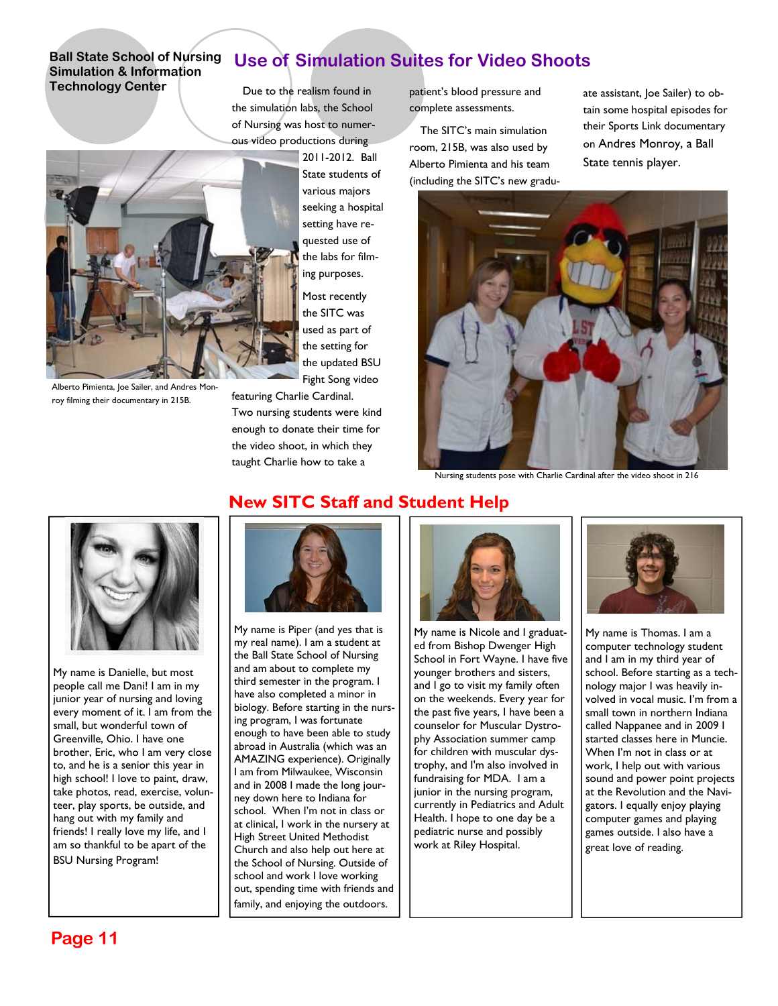# ous video productions during

Alberto Pimienta, Joe Sailer, and Andres Monroy filming their documentary in 215B.

2011-2012. Ball State students of various majors seeking a hospital setting have requested use of the labs for filming purposes.

Due to the realism found in the simulation labs, the School of Nursing was host to numer-

> Most recently the SITC was used as part of the setting for the updated BSU Fight Song video

featuring Charlie Cardinal. Two nursing students were kind enough to donate their time for the video shoot, in which they taught Charlie how to take a

patient's blood pressure and complete assessments.

**Use of Simulation Suites for Video Shoots** 

The SITC's main simulation room, 215B, was also used by Alberto Pimienta and his team (including the SITC's new graduate assistant, Joe Sailer) to obtain some hospital episodes for their Sports Link documentary on Andres Monroy, a Ball State tennis player.



Nursing students pose with Charlie Cardinal after the video shoot in 216



My name is Danielle, but most people call me Dani! I am in my junior year of nursing and loving every moment of it. I am from the small, but wonderful town of Greenville, Ohio. I have one brother, Eric, who I am very close to, and he is a senior this year in high school! I love to paint, draw, take photos, read, exercise, volunteer, play sports, be outside, and hang out with my family and friends! I really love my life, and I am so thankful to be apart of the BSU Nursing Program!

**New SITC Staff and Student Help** 

My name is Piper (and yes that is my real name). I am a student at the Ball State School of Nursing and am about to complete my third semester in the program. I have also completed a minor in biology. Before starting in the nursing program, I was fortunate enough to have been able to study abroad in Australia (which was an AMAZING experience). Originally I am from Milwaukee, Wisconsin and in 2008 I made the long journey down here to Indiana for school. When I'm not in class or at clinical, I work in the nursery at High Street United Methodist Church and also help out here at the School of Nursing. Outside of school and work I love working out, spending time with friends and family, and enjoying the outdoors.



My name is Nicole and I graduated from Bishop Dwenger High School in Fort Wayne. I have five younger brothers and sisters, and I go to visit my family often on the weekends. Every year for the past five years, I have been a counselor for Muscular Dystrophy Association summer camp for children with muscular dystrophy, and I'm also involved in fundraising for MDA. I am a junior in the nursing program, currently in Pediatrics and Adult Health. I hope to one day be a pediatric nurse and possibly work at Riley Hospital.



My name is Thomas. I am a computer technology student and I am in my third year of school. Before starting as a technology major I was heavily involved in vocal music. I'm from a small town in northern Indiana called Nappanee and in 2009 I started classes here in Muncie. When I'm not in class or at work, I help out with various sound and power point projects at the Revolution and the Navigators. I equally enjoy playing computer games and playing games outside. I also have a great love of reading.